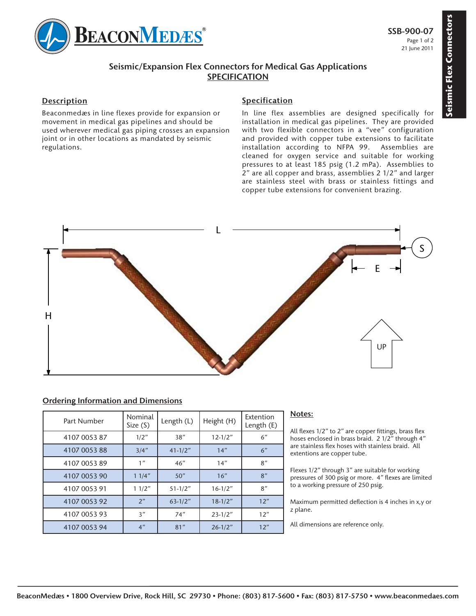

# **Seismic/Expansion Flex Connectors for Medical Gas Applications SPECIFICATION**

## **Description**

Beaconmedæs in line flexes provide for expansion or movement in medical gas pipelines and should be used wherever medical gas piping crosses an expansion joint or in other locations as mandated by seismic regulations.

### **Specification**

In line flex assemblies are designed specifically for installation in medical gas pipelines. They are provided with two flexible connectors in a "vee" configuration and provided with copper tube extensions to facilitate installation according to NFPA 99. Assemblies are cleaned for oxygen service and suitable for working pressures to at least 185 psig (1.2 mPa). Assemblies to 2" are all copper and brass, assemblies 2 1/2" and larger are stainless steel with brass or stainless fittings and copper tube extensions for convenient brazing.



#### **Ordering Information and Dimensions**

| Part Number  | Nominal<br>Size(S) | Length (L)  | Height (H)  | Extention<br>Length (E) |
|--------------|--------------------|-------------|-------------|-------------------------|
| 4107 0053 87 | 1/2"               | 38"         | $12 - 1/2"$ | 6"                      |
| 4107 0053 88 | 3/4''              | $41 - 1/2"$ | 14"         | 6"                      |
| 4107 0053 89 | 1"                 | 46"         | 14"         | 8"                      |
| 4107 0053 90 | 11/4"              | 50"         | 16"         | 8"                      |
| 4107 0053 91 | 11/2"              | $51 - 1/2"$ | $16-1/2"$   | 8"                      |
| 4107 0053 92 | 2"                 | $63-1/2"$   | $18 - 1/2"$ | 12"                     |
| 4107 0053 93 | 3"                 | 74"         | $23 - 1/2"$ | 12"                     |
| 4107 0053 94 | 4"                 | 81"         | $26 - 1/2"$ | 12"                     |

#### **Notes:**

All flexes 1/2" to 2" are copper fittings, brass flex hoses enclosed in brass braid. 2 1/2" through 4" are stainless flex hoses with stainless braid. All extentions are copper tube.

Flexes 1/2" through 3" are suitable for working pressures of 300 psig or more. 4" flexes are limited to a working pressure of 250 psig.

Maximum permitted deflection is 4 inches in x,y or z plane.

All dimensions are reference only.